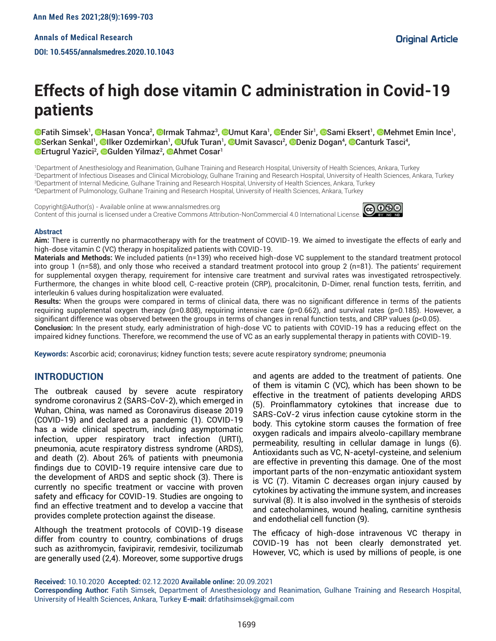# **Effects of high dose vitamin C administration in Covid-19 patients**

Fatih Simsek<sup>1</sup>, ©Hasan Yonca², ©Irmak Tahmaz<sup>3</sup>, ©Umut Kara', ©Ender Sir', ©Sami Eksert', ©Mehmet Emin [I](http://orcid.org/0000-0003-0965-0782)nce', Serkan Senkal<sup>1</sup>, **©**Ilker Ozdemirkan<sup>1</sup>, ©Ufuk Turan<sup>1</sup>, ©Umit Savascı<sup>2</sup>, ©Deniz [D](http://orcid.org/0000-0003-2596-3113)ogan<sup>4</sup>, ©Canturk Tasci<sup>4</sup>, Ertugrul Yazici², ©Gulden Yilmaz², ©Ahmet Cosar1

 Department of Anesthesiology and Reanimation, Gulhane Training and Research Hospital, University of Health Sciences, Ankara, Turkey Department of Infectious Diseases and Clinical Microbiology, Gulhane Training and Research Hospital, University of Health Sciences, Ankara, Turkey Department of Internal Medicine, Gulhane Training and Research Hospital, University of Health Sciences, Ankara, Turkey Department of Pulmonology, Gulhane Training and Research Hospital, University of Health Sciences, Ankara, Turkey

Copyright@Author(s) - Available online at www.annalsmedres.org Content of this journal is licensed under a Creative Commons Attribution-NonCommercial 4.0 International License.



#### **Abstract**

**Aim:** There is currently no pharmacotherapy with for the treatment of COVID-19. We aimed to investigate the effects of early and high-dose vitamin C (VC) therapy in hospitalized patients with COVID-19.

**Materials and Methods:** We included patients (n=139) who received high-dose VC supplement to the standard treatment protocol into group 1 (n=58), and only those who received a standard treatment protocol into group 2 (n=81). The patients' requirement for supplemental oxygen therapy, requirement for intensive care treatment and survival rates was investigated retrospectively. Furthermore, the changes in white blood cell, C-reactive protein (CRP), procalcitonin, D-Dimer, renal function tests, ferritin, and interleukin 6 values during hospitalization were evaluated.

**Results:** When the groups were compared in terms of clinical data, there was no significant difference in terms of the patients requiring supplemental oxygen therapy (p=0.808), requiring intensive care (p=0.662), and survival rates (p=0.185). However, a significant difference was observed between the groups in terms of changes in renal function tests, and CRP values (p<0.05). **Conclusion:** In the present study, early administration of high-dose VC to patients with COVID-19 has a reducing effect on the impaired kidney functions. Therefore, we recommend the use of VC as an early supplemental therapy in patients with COVID-19.

**Keywords:** Ascorbic acid; coronavirus; kidney function tests; severe acute respiratory syndrome; pneumonia

### **INTRODUCTION**

The outbreak caused by severe acute respiratory syndrome coronavirus 2 (SARS-CoV-2), which emerged in Wuhan, China, was named as Coronavirus disease 2019 (COVID-19) and declared as a pandemic (1). COVID-19 has a wide clinical spectrum, including asymptomatic infection, upper respiratory tract infection (URTI), pneumonia, acute respiratory distress syndrome (ARDS), and death (2). About 26% of patients with pneumonia findings due to COVID-19 require intensive care due to the development of ARDS and septic shock (3). There is currently no specific treatment or vaccine with proven safety and efficacy for COVID-19. Studies are ongoing to find an effective treatment and to develop a vaccine that provides complete protection against the disease.

Although the treatment protocols of COVID-19 disease differ from country to country, combinations of drugs such as azithromycin, favipiravir, remdesivir, tocilizumab are generally used (2,4). Moreover, some supportive drugs and agents are added to the treatment of patients. One of them is vitamin C (VC), which has been shown to be effective in the treatment of patients developing ARDS (5). Proinflammatory cytokines that increase due to SARS-CoV-2 virus infection cause cytokine storm in the body. This cytokine storm causes the formation of free oxygen radicals and impairs alveolo-capillary membrane permeability, resulting in cellular damage in lungs (6). Antioxidants such as VC, N-acetyl-cysteine, and selenium are effective in preventing this damage. One of the most important parts of the non-enzymatic antioxidant system is VC (7). Vitamin C decreases organ injury caused by cytokines by activating the immune system, and increases survival (8). It is also involved in the synthesis of steroids and catecholamines, wound healing, carnitine synthesis and endothelial cell function (9).

The efficacy of high-dose intravenous VC therapy in COVID-19 has not been clearly demonstrated yet. However, VC, which is used by millions of people, is one

**Received:** 10.10.2020 **Accepted:** 02.12.2020 **Available online:** 20.09.2021

**Corresponding Author:** Fatih Simsek, Department of Anesthesiology and Reanimation, Gulhane Training and Research Hospital, University of Health Sciences, Ankara, Turkey **E-mail:** drfatihsimsek@gmail.com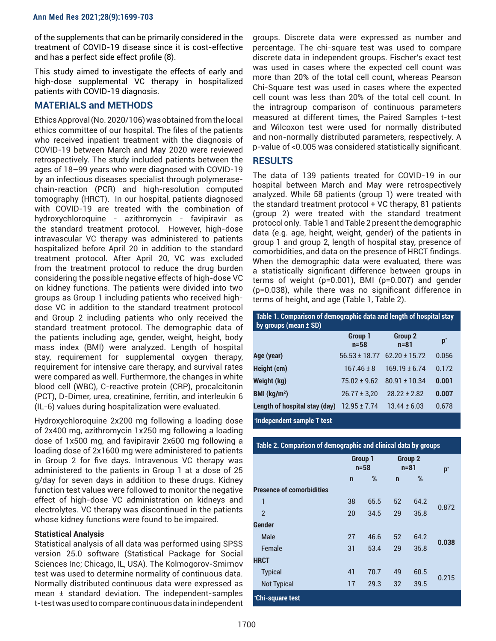of the supplements that can be primarily considered in the treatment of COVID-19 disease since it is cost-effective and has a perfect side effect profile (8).

This study aimed to investigate the effects of early and high-dose supplemental VC therapy in hospitalized patients with COVID-19 diagnosis.

# **MATERIALS and METHODS**

Ethics Approval (No. 2020/106) was obtained from the local ethics committee of our hospital. The files of the patients who received inpatient treatment with the diagnosis of COVID-19 between March and May 2020 were reviewed retrospectively. The study included patients between the ages of 18–99 years who were diagnosed with COVID-19 by an infectious diseases specialist through polymerasechain-reaction (PCR) and high-resolution computed tomography (HRCT). In our hospital, patients diagnosed with COVID-19 are treated with the combination of hydroxychloroquine - azithromycin - favipiravir as the standard treatment protocol. However, high-dose intravascular VC therapy was administered to patients hospitalized before April 20 in addition to the standard treatment protocol. After April 20, VC was excluded from the treatment protocol to reduce the drug burden considering the possible negative effects of high-dose VC on kidney functions. The patients were divided into two groups as Group 1 including patients who received highdose VC in addition to the standard treatment protocol and Group 2 including patients who only received the standard treatment protocol. The demographic data of the patients including age, gender, weight, height, body mass index (BMI) were analyzed. Length of hospital stay, requirement for supplemental oxygen therapy, requirement for intensive care therapy, and survival rates were compared as well. Furthermore, the changes in white blood cell (WBC), C-reactive protein (CRP), procalcitonin (PCT), D-Dimer, urea, creatinine, ferritin, and interleukin 6 (IL-6) values during hospitalization were evaluated.

Hydroxychloroquine 2x200 mg following a loading dose of 2x400 mg, azithromycin 1x250 mg following a loading dose of 1x500 mg, and favipiravir 2x600 mg following a loading dose of 2x1600 mg were administered to patients in Group 2 for five days. Intravenous VC therapy was administered to the patients in Group 1 at a dose of 25 g/day for seven days in addition to these drugs. Kidney function test values were followed to monitor the negative effect of high-dose VC administration on kidneys and electrolytes. VC therapy was discontinued in the patients whose kidney functions were found to be impaired.

#### **Statistical Analysis**

Statistical analysis of all data was performed using SPSS version 25.0 software (Statistical Package for Social Sciences Inc; Chicago, IL, USA). The Kolmogorov-Smirnov test was used to determine normality of continuous data. Normally distributed continuous data were expressed as mean ± standard deviation. The independent-samples t-test was used to compare continuous data in independent groups. Discrete data were expressed as number and percentage. The chi-square test was used to compare discrete data in independent groups. Fischer's exact test was used in cases where the expected cell count was more than 20% of the total cell count, whereas Pearson Chi-Square test was used in cases where the expected cell count was less than 20% of the total cell count. In the intragroup comparison of continuous parameters measured at different times, the Paired Samples t-test and Wilcoxon test were used for normally distributed and non-normally distributed parameters, respectively. A p-value of <0.005 was considered statistically significant.

## **RESULTS**

The data of 139 patients treated for COVID-19 in our hospital between March and May were retrospectively analyzed. While 58 patients (group 1) were treated with the standard treatment protocol + VC therapy, 81 patients (group 2) were treated with the standard treatment protocol only. Table 1 and Table 2 present the demographic data (e.g. age, height, weight, gender) of the patients in group 1 and group 2, length of hospital stay, presence of comorbidities, and data on the presence of HRCT findings. When the demographic data were evaluated, there was a statistically significant difference between groups in terms of weight (p=0.001), BMI (p=0.007) and gender (p=0.038), while there was no significant difference in terms of height, and age (Table 1, Table 2).

| Table 1. Comparison of demographic data and length of hospital stay<br>by groups (mean ± SD) |                                                     |                   |       |  |
|----------------------------------------------------------------------------------------------|-----------------------------------------------------|-------------------|-------|--|
|                                                                                              | Group 1<br>Group <sub>2</sub><br>$n=58$<br>$n = 81$ |                   | p*    |  |
| Age (year)                                                                                   | $56.53 \pm 18.77$                                   | $62.20 \pm 15.72$ | 0.056 |  |
| Height (cm)                                                                                  | $167.46 \pm 8$                                      | $169.19 \pm 6.74$ | 0.172 |  |
| <b>Weight (kg)</b>                                                                           | $75.02 \pm 9.62$                                    | $80.91 + 10.34$   | 0.001 |  |
| BMI $(kg/m2)$                                                                                | $26.77 \pm 3.20$                                    | $28.22 + 2.82$    | 0.007 |  |
| Length of hospital stay (day)                                                                | $12.95 \pm 7.74$                                    | $13.44 \pm 6.03$  | 0.678 |  |
| the contract of the contract of the                                                          |                                                     |                   |       |  |

 **\*Independent sample T test**

| Table 2. Comparison of demographic and clinical data by groups |                   |      |                     |      |                |
|----------------------------------------------------------------|-------------------|------|---------------------|------|----------------|
|                                                                | Group 1<br>$n=58$ |      | Group 2<br>$n = 81$ |      | $\mathbf{p}^*$ |
|                                                                | $\mathsf{n}$      | %    | $\mathsf{n}$        | %    |                |
| <b>Presence of comorbidities</b>                               |                   |      |                     |      |                |
| 1                                                              | 38                | 65.5 | 52                  | 64.2 | 0.872          |
| $\mathfrak{p}$                                                 | 20                | 34.5 | 29                  | 35.8 |                |
| <b>Gender</b>                                                  |                   |      |                     |      |                |
| Male                                                           | 27                | 46.6 | 52                  | 64.2 | 0.038          |
| Female                                                         | 31                | 53.4 | 29                  | 35.8 |                |
| <b>HRCT</b>                                                    |                   |      |                     |      |                |
| <b>Typical</b>                                                 | 41                | 70.7 | 49                  | 60.5 | 0.215          |
| <b>Not Typical</b>                                             | 17                | 29.3 | 32                  | 39.5 |                |
| <b>Chi-square test</b>                                         |                   |      |                     |      |                |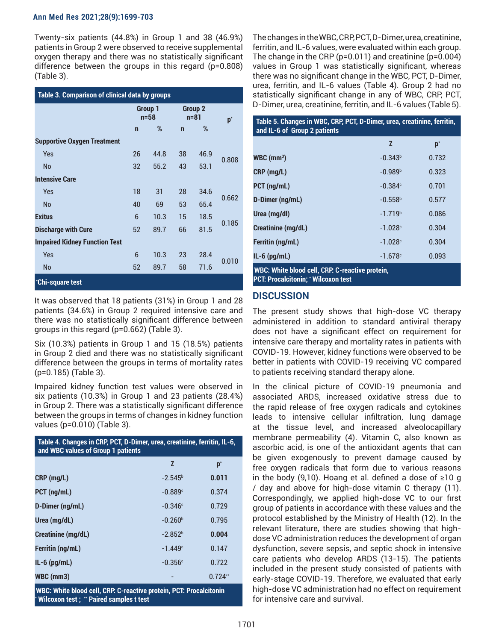#### **Ann Med Res 2021;28(9):1699-703**

Twenty-six patients (44.8%) in Group 1 and 38 (46.9%) patients in Group 2 were observed to receive supplemental oxygen therapy and there was no statistically significant difference between the groups in this regard (p=0.808) (Table 3).

| Table 3. Comparison of clinical data by groups |                   |      |                     |      |                |
|------------------------------------------------|-------------------|------|---------------------|------|----------------|
|                                                | Group 1<br>$n=58$ |      | Group 2<br>$n = 81$ |      | $\mathbf{p}^*$ |
|                                                | $\mathbf n$       | %    | $\mathbf n$         | %    |                |
| <b>Supportive Oxygen Treatment</b>             |                   |      |                     |      |                |
| <b>Yes</b>                                     | 26                | 44.8 | 38                  | 46.9 | 0.808          |
| <b>No</b>                                      | 32                | 55.2 | 43                  | 53.1 |                |
| <b>Intensive Care</b>                          |                   |      |                     |      |                |
| <b>Yes</b>                                     | 18                | 31   | 28                  | 34.6 | 0.662          |
| <b>No</b>                                      | 40                | 69   | 53                  | 65.4 |                |
| <b>Exitus</b>                                  | 6                 | 10.3 | 15                  | 18.5 |                |
| <b>Discharge with Cure</b>                     | 52                | 89.7 | 66                  | 81.5 | 0.185          |
| <b>Impaired Kidney Function Test</b>           |                   |      |                     |      |                |
| <b>Yes</b>                                     | 6                 | 10.3 | 23                  | 28.4 |                |
| <b>No</b>                                      | 52                | 89.7 | 58                  | 71.6 | 0.010          |
| *Chi-square test                               |                   |      |                     |      |                |

It was observed that 18 patients (31%) in Group 1 and 28 patients (34.6%) in Group 2 required intensive care and there was no statistically significant difference between groups in this regard (p=0.662) (Table 3).

Six (10.3%) patients in Group 1 and 15 (18.5%) patients in Group 2 died and there was no statistically significant difference between the groups in terms of mortality rates (p=0.185) (Table 3).

Impaired kidney function test values were observed in six patients (10.3%) in Group 1 and 23 patients (28.4%) in Group 2. There was a statistically significant difference between the groups in terms of changes in kidney function values (p=0.010) (Table 3).

| Table 4. Changes in CRP, PCT, D-Dimer, urea, creatinine, ferritin, IL-6,<br>and WBC values of Group 1 patients |            |           |  |  |
|----------------------------------------------------------------------------------------------------------------|------------|-----------|--|--|
|                                                                                                                | Z          | p*        |  |  |
| CRP (mg/L)                                                                                                     | $-2.545b$  | 0.011     |  |  |
| PCT (ng/mL)                                                                                                    | $-0.889c$  | 0.374     |  |  |
| D-Dimer (ng/mL)                                                                                                | $-0.346c$  | 0.729     |  |  |
| Urea (mg/dL)                                                                                                   | $-0.260b$  | 0.795     |  |  |
| Creatinine (mg/dL)                                                                                             | $-2.852b$  | 0.004     |  |  |
| Ferritin (ng/mL)                                                                                               | $-1.449c$  | 0.147     |  |  |
| $IL-6$ (pg/mL)                                                                                                 | $-0.356$ ° | 0.722     |  |  |
| WBC (mm3)                                                                                                      |            | $0.724**$ |  |  |
| <b>WBC: White blood cell, CRP. C-reactive protein, PCT: Procalcitonin</b>                                      |            |           |  |  |

**\* Wilcoxon test ; \*\* Paired samples t test**  The changes in the WBC, CRP, PCT, D-Dimer, urea, creatinine, ferritin, and IL-6 values, were evaluated within each group. The change in the CRP (p=0.011) and creatinine (p=0.004) values in Group 1 was statistically significant, whereas there was no significant change in the WBC, PCT, D-Dimer, urea, ferritin, and IL-6 values (Table 4). Group 2 had no statistically significant change in any of WBC, CRP, PCT, D-Dimer, urea, creatinine, ferritin, and IL-6 values (Table 5).

| Table 5. Changes in WBC, CRP, PCT, D-Dimer, urea, creatinine, ferritin, |           |       |  |  |
|-------------------------------------------------------------------------|-----------|-------|--|--|
| and IL-6 of Group 2 patients                                            |           |       |  |  |
|                                                                         | Z         | p*    |  |  |
| $WBC$ (mm <sup>3</sup> )                                                | $-0.343b$ | 0.732 |  |  |
| CRP (mg/L)                                                              | $-0.989b$ | 0.323 |  |  |
| PCT (ng/mL)                                                             | $-0.384c$ | 0.701 |  |  |
| D-Dimer (ng/mL)                                                         | $-0.558b$ | 0.577 |  |  |
| Urea (mg/dl)                                                            | $-1.719b$ | 0.086 |  |  |
| <b>Creatinine (mg/dL)</b>                                               | $-1.028c$ | 0.304 |  |  |
| Ferritin (ng/mL)                                                        | $-1.028c$ | 0.304 |  |  |
| $IL-6$ (pg/mL)                                                          | $-1.678c$ | 0.093 |  |  |
| <b>WBC: White blood cell, CRP. C-reactive protein,</b>                  |           |       |  |  |

**PCT: Procalcitonin; \* Wilcoxon test** 

## **DISCUSSION**

The present study shows that high-dose VC therapy administered in addition to standard antiviral therapy does not have a significant effect on requirement for intensive care therapy and mortality rates in patients with COVID-19. However, kidney functions were observed to be better in patients with COVID-19 receiving VC compared to patients receiving standard therapy alone.

In the clinical picture of COVID-19 pneumonia and associated ARDS, increased oxidative stress due to the rapid release of free oxygen radicals and cytokines leads to intensive cellular infiltration, lung damage at the tissue level, and increased alveolocapillary membrane permeability (4). Vitamin C, also known as ascorbic acid, is one of the antioxidant agents that can be given exogenously to prevent damage caused by free oxygen radicals that form due to various reasons in the body (9,10). Hoang et al. defined a dose of ≥10 g / day and above for high-dose vitamin C therapy (11). Correspondingly, we applied high-dose VC to our first group of patients in accordance with these values and the protocol established by the Ministry of Health (12). In the relevant literature, there are studies showing that highdose VC administration reduces the development of organ dysfunction, severe sepsis, and septic shock in intensive care patients who develop ARDS (13-15). The patients included in the present study consisted of patients with early-stage COVID-19. Therefore, we evaluated that early high-dose VC administration had no effect on requirement for intensive care and survival.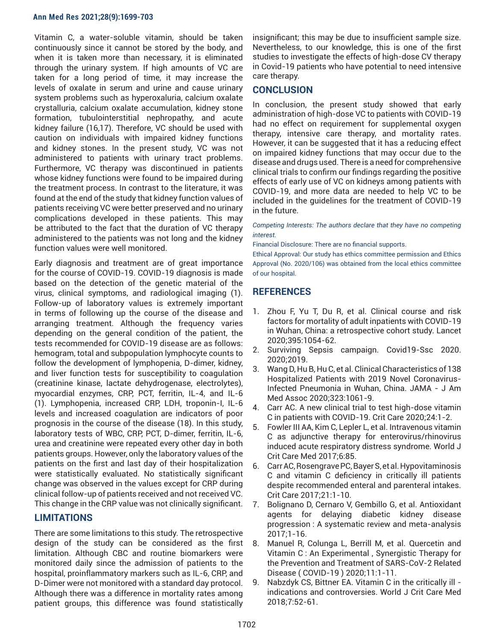#### **Ann Med Res 2021;28(9):1699-703**

Vitamin C, a water-soluble vitamin, should be taken continuously since it cannot be stored by the body, and when it is taken more than necessary, it is eliminated through the urinary system. If high amounts of VC are taken for a long period of time, it may increase the levels of oxalate in serum and urine and cause urinary system problems such as hyperoxaluria, calcium oxalate crystalluria, calcium oxalate accumulation, kidney stone formation, tubulointerstitial nephropathy, and acute kidney failure (16,17). Therefore, VC should be used with caution on individuals with impaired kidney functions and kidney stones. In the present study, VC was not administered to patients with urinary tract problems. Furthermore, VC therapy was discontinued in patients whose kidney functions were found to be impaired during the treatment process. In contrast to the literature, it was found at the end of the study that kidney function values of patients receiving VC were better preserved and no urinary complications developed in these patients. This may be attributed to the fact that the duration of VC therapy administered to the patients was not long and the kidney function values were well monitored.

Early diagnosis and treatment are of great importance for the course of COVID-19. COVID-19 diagnosis is made based on the detection of the genetic material of the virus, clinical symptoms, and radiological imaging (1). Follow-up of laboratory values is extremely important in terms of following up the course of the disease and arranging treatment. Although the frequency varies depending on the general condition of the patient, the tests recommended for COVID-19 disease are as follows: hemogram, total and subpopulation lymphocyte counts to follow the development of lymphopenia, D-dimer, kidney, and liver function tests for susceptibility to coagulation (creatinine kinase, lactate dehydrogenase, electrolytes), myocardial enzymes, CRP, PCT, ferritin, IL-4, and IL-6 (1). Lymphopenia, increased CRP, LDH, troponin-I, IL-6 levels and increased coagulation are indicators of poor prognosis in the course of the disease (18). In this study, laboratory tests of WBC, CRP, PCT, D-dimer, ferritin, IL-6, urea and creatinine were repeated every other day in both patients groups. However, only the laboratory values of the patients on the first and last day of their hospitalization were statistically evaluated. No statistically significant change was observed in the values except for CRP during clinical follow-up of patients received and not received VC. This change in the CRP value was not clinically significant.

## **LIMITATIONS**

There are some limitations to this study. The retrospective design of the study can be considered as the first limitation. Although CBC and routine biomarkers were monitored daily since the admission of patients to the hospital, proinflammatory markers such as IL-6, CRP, and D-Dimer were not monitored with a standard day protocol. Although there was a difference in mortality rates among patient groups, this difference was found statistically

insignificant; this may be due to insufficient sample size. Nevertheless, to our knowledge, this is one of the first studies to investigate the effects of high-dose CV therapy in Covid-19 patients who have potential to need intensive care therapy.

## **CONCLUSION**

In conclusion, the present study showed that early administration of high-dose VC to patients with COVID-19 had no effect on requirement for supplemental oxygen therapy, intensive care therapy, and mortality rates. However, it can be suggested that it has a reducing effect on impaired kidney functions that may occur due to the disease and drugs used. There is a need for comprehensive clinical trials to confirm our findings regarding the positive effects of early use of VC on kidneys among patients with COVID-19, and more data are needed to help VC to be included in the guidelines for the treatment of COVID-19 in the future.

*Competing Interests: The authors declare that they have no competing interest.*

Financial Disclosure: There are no financial supports.

Ethical Approval: Our study has ethics committee permission and Ethics Approval (No. 2020/106) was obtained from the local ethics committee of our hospital.

## **REFERENCES**

- 1. Zhou F, Yu T, Du R, et al. Clinical course and risk factors for mortality of adult inpatients with COVID-19 in Wuhan, China: a retrospective cohort study. Lancet 2020;395:1054-62.
- 2. Surviving Sepsis campaign. Covid19-Ssc 2020. 2020;2019.
- 3. Wang D, Hu B, Hu C, et al. Clinical Characteristics of 138 Hospitalized Patients with 2019 Novel Coronavirus-Infected Pneumonia in Wuhan, China. JAMA - J Am Med Assoc 2020;323:1061-9.
- 4. Carr AC. A new clinical trial to test high-dose vitamin C in patients with COVID-19. Crit Care 2020;24:1-2.
- 5. Fowler III AA, Kim C, Lepler L, et al. Intravenous vitamin C as adjunctive therapy for enterovirus/rhinovirus induced acute respiratory distress syndrome. World J Crit Care Med 2017;6:85.
- 6. Carr AC, Rosengrave PC, Bayer S, et al. Hypovitaminosis C and vitamin C deficiency in critically ill patients despite recommended enteral and parenteral intakes. Crit Care 2017;21:1-10.
- 7. Bolignano D, Cernaro V, Gembillo G, et al. Antioxidant agents for delaying diabetic kidney disease progression : A systematic review and meta-analysis 2017;1-16.
- 8. Manuel R, Colunga L, Berrill M, et al. Quercetin and Vitamin C : An Experimental , Synergistic Therapy for the Prevention and Treatment of SARS-CoV-2 Related Disease ( COVID-19 ) 2020;11:1-11.
- 9. Nabzdyk CS, Bittner EA. Vitamin C in the critically ill indications and controversies. World J Crit Care Med 2018;7:52-61.